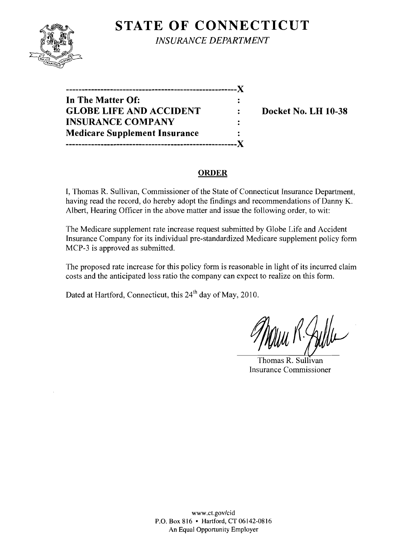

**STATE OF CONNECTICUT** *INSURANCE DEPARTMENT* 

**------------------------------------------------------**)( **In The Matter Of: GLOBE LIFE AND ACCIDENT : Docket No. LH 10-38 INSURANCE COMPANY**   $\ddot{z}$ **Medicare Supplement Insurance ------------------------------------------------------)(** 

### **ORDER**

I, Thomas R. Sullivan, Commissioner of the State of Connecticut Insurance Department, having read the record, do hereby adopt the findings and recommendations of Danny K. Albert, Hearing Officer in the above matter and issue the following order, to wit:

The Medicare supplement rate increase request submitted by Globe Life and Accident Insurance Company for its individual pre-standardized Medicare supplement policy form MCP-3 is approved as submitted.

The proposed rate increase for this policy form is reasonable in light of its incurred claim costs and the anticipated loss ratio the company can expect to realize on this form.

Dated at Hartford, Connecticut, this 24<sup>th</sup> day of May, 2010.

Thomas R. Sullivan Insurance Commissioner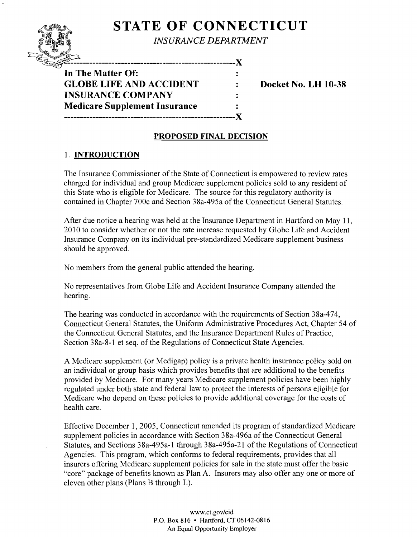# **STATE OF CONNECTICUT**

*INSURANCE DEPARTMENT* 

 $\ddot{\phantom{a}}$ 

 $\ddot{\cdot}$ 

---------------------------------X

**In The Matter Of: GLOBE LIFE AND ACCIDENT : Docket No. LH 10-38 INSURANCE COMPANY Medicare Supplement Insurance ------------------------------------------------------)(** 

### **PROPOSED FINAL DECISION**

## 1. **INTRODUCTION**

The Insurance Commissioner of the State of Connecticut is empowered to review rates charged for individual and group Medicare supplement policies sold to any resident of this State who is eligible for Medicare. The source for this regulatory authority is contained in Chapter 700c and Section 38a-495a of the Connecticut General Statutes.

After due notice a hearing was held at the Insurance Department in Hartford on May 11, 2010 to consider whether or not the rate increase requested by Globe Life and Accident Insurance Company on its individual pre-standardized Medicare supplement business should be approved.

No members from the general public attended the hearing.

No representatives from Globe Life and Accident Insurance Company attended the hearing.

The hearing was conducted in accordance with the requirements of Section 38a-474, Connecticut General Statutes, the Uniform Administrative Procedures Act, Chapter 54 of the Connecticut General Statutes, and the Insurance Department Rules of Practice, Section 38a-8-1 et seq. of the Regulations of Connecticut State Agencies.

A Medicare supplement (or Medigap) policy is a private health insurance policy sold on an individual or group basis which provides benefits that are additional to the benefits provided by Medicare. For many years Medicare supplement policies have been highly regulated under both state and federal law to protect the interests of persons eligible for Medicare who depend on these policies to provide additional coverage for the costs of health care.

Effective December 1,2005, Connecticut amended its program of standardized Medicare supplement policies in accordance with Section 38a-496a of the Connecticut General Statutes, and Sections 38a-495a-1 through 38a-495a-21 of the Regulations of Connecticut Agencies. This program, which conforms to federal requirements, provides that all insurers offering Medicare supplement policies for sale in the state must offer the basic "core" package of benefits known as Plan A. Insurers may also offer anyone or more of eleven other plans (Plans B through L).

> www.ct.gov/cid P.O. Box 816 • Hartford. CT06142-0816 An Equal Opportunity Employer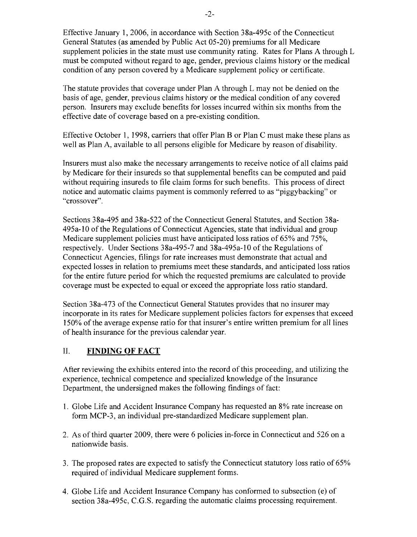Effective January 1, 2006, in accordance with Section 38a-495c of the Connecticut General Statutes (as amended by Public Act 05-20) premiums for all Medicare supplement policies in the state must use community rating. Rates for Plans A through L must be computed without regard to age, gender, previous claims history or the medical condition of any person covered by a Medicare supplement policy or certificate.

The statute provides that coverage under Plan A through L may not be denied on the basis of age, gender, previous claims history or the medical condition of any covered person. Insurers may exclude benefits for losses incurred within six months from the effective date of coverage based on a pre-existing condition.

Effective October 1, 1998, carriers that offer Plan B or Plan C must make these plans as well as Plan A, available to all persons eligible for Medicare by reason of disability.

Insurers must also make the necessary arrangements to receive notice of all claims paid by Medicare for their insureds so that supplemental benefits can be computed and paid without requiring insureds to file claim forms for such benefits. This process of direct notice and automatic claims payment is commonly referred to as "piggybacking" or "crossover".

Sections 38a-495 and 38a-522 of the Connecticut General Statutes, and Section 38a-495a-10 of the Regulations of Connecticut Agencies, state that individual and group Medicare supplement policies must have anticipated loss ratios of 65% and 75%, respectively. Under Sections 38a-495-7 and 38a-495a-10 of the Regulations of Connecticut Agencies, filings for rate increases must demonstrate that actual and expected losses in relation to premiums meet these standards, and anticipated loss ratios for the entire future period for which the requested premiums are calculated to provide coverage must be expected to equal or exceed the appropriate loss ratio standard.

Section 38a-473 of the Connecticut General Statutes provides that no insurer may incorporate in its rates for Medicare supplement policies factors for expenses that exceed 150% of the average expense ratio for that insurer's entire written premium for all lines of health insurance for the previous calendar year.

#### II. **FINDING OF FACT**

After reviewing the exhibits entered into the record of this proceeding, and utilizing the experience, technical competence and specialized knowledge of the Insurance Department, the undersigned makes the following findings of fact:

- 1. Globe Life and Accident Insurance Company has requested an 8% rate increase on form MCP-3, an individual pre-standardized Medicare supplement plan.
- 2. As of third quarter 2009, there were 6 policies in-force in Connecticut and 526 on a nationwide basis.
- 3. The proposed rates are expected to satisfy the Connecticut statutory loss ratio of  $65\%$ required of individual Medicare supplement forms.
- 4. Globe Life and Accident Insurance Company has conformed to subsection (e) of section 38a-495c, C.G.S. regarding the automatic claims processing requirement.